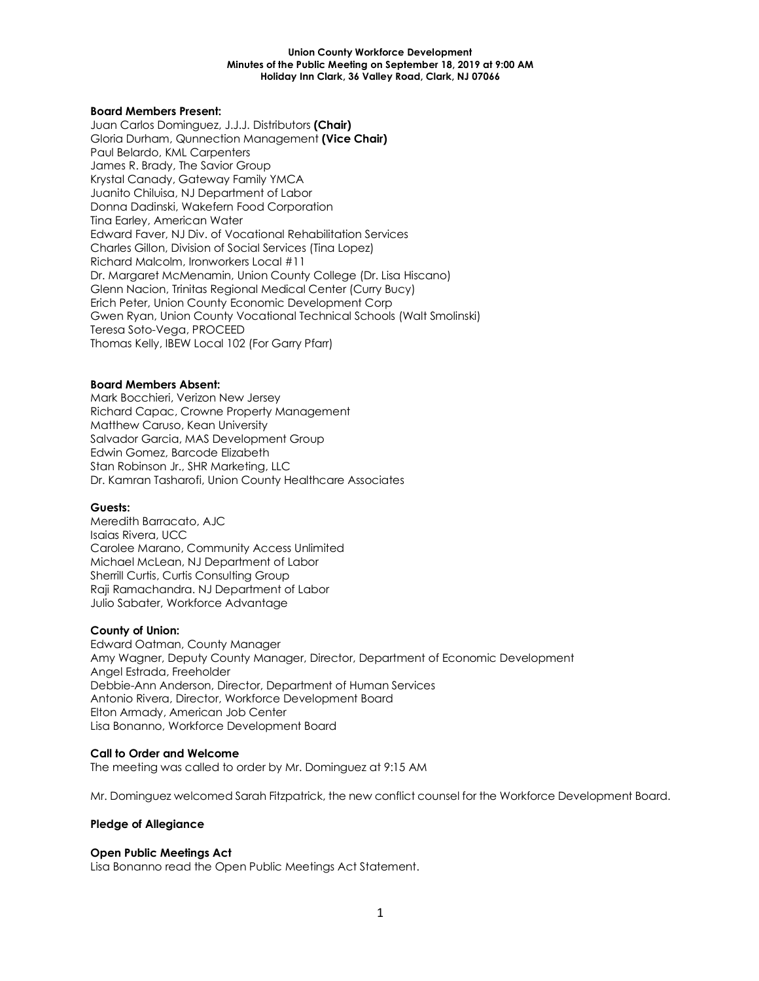## **Board Members Present:**

Juan Carlos Dominguez, J.J.J. Distributors **(Chair)** Gloria Durham, Qunnection Management **(Vice Chair)** Paul Belardo, KML Carpenters James R. Brady, The Savior Group Krystal Canady, Gateway Family YMCA Juanito Chiluisa, NJ Department of Labor Donna Dadinski, Wakefern Food Corporation Tina Earley, American Water Edward Faver, NJ Div. of Vocational Rehabilitation Services Charles Gillon, Division of Social Services (Tina Lopez) Richard Malcolm, Ironworkers Local #11 Dr. Margaret McMenamin, Union County College (Dr. Lisa Hiscano) Glenn Nacion, Trinitas Regional Medical Center (Curry Bucy) Erich Peter, Union County Economic Development Corp Gwen Ryan, Union County Vocational Technical Schools (Walt Smolinski) Teresa Soto-Vega, PROCEED Thomas Kelly, IBEW Local 102 (For Garry Pfarr)

## **Board Members Absent:**

Mark Bocchieri, Verizon New Jersey Richard Capac, Crowne Property Management Matthew Caruso, Kean University Salvador Garcia, MAS Development Group Edwin Gomez, Barcode Elizabeth Stan Robinson Jr., SHR Marketing, LLC Dr. Kamran Tasharofi, Union County Healthcare Associates

## **Guests:**

Meredith Barracato, AJC Isaias Rivera, UCC Carolee Marano, Community Access Unlimited Michael McLean, NJ Department of Labor Sherrill Curtis, Curtis Consulting Group Raji Ramachandra. NJ Department of Labor Julio Sabater, Workforce Advantage

## **County of Union:**

Edward Oatman, County Manager Amy Wagner, Deputy County Manager, Director, Department of Economic Development Angel Estrada, Freeholder Debbie-Ann Anderson, Director, Department of Human Services Antonio Rivera, Director, Workforce Development Board Elton Armady, American Job Center Lisa Bonanno, Workforce Development Board

## **Call to Order and Welcome**

The meeting was called to order by Mr. Dominguez at 9:15 AM

Mr. Dominguez welcomed Sarah Fitzpatrick, the new conflict counsel for the Workforce Development Board.

## **Pledge of Allegiance**

## **Open Public Meetings Act**

Lisa Bonanno read the Open Public Meetings Act Statement.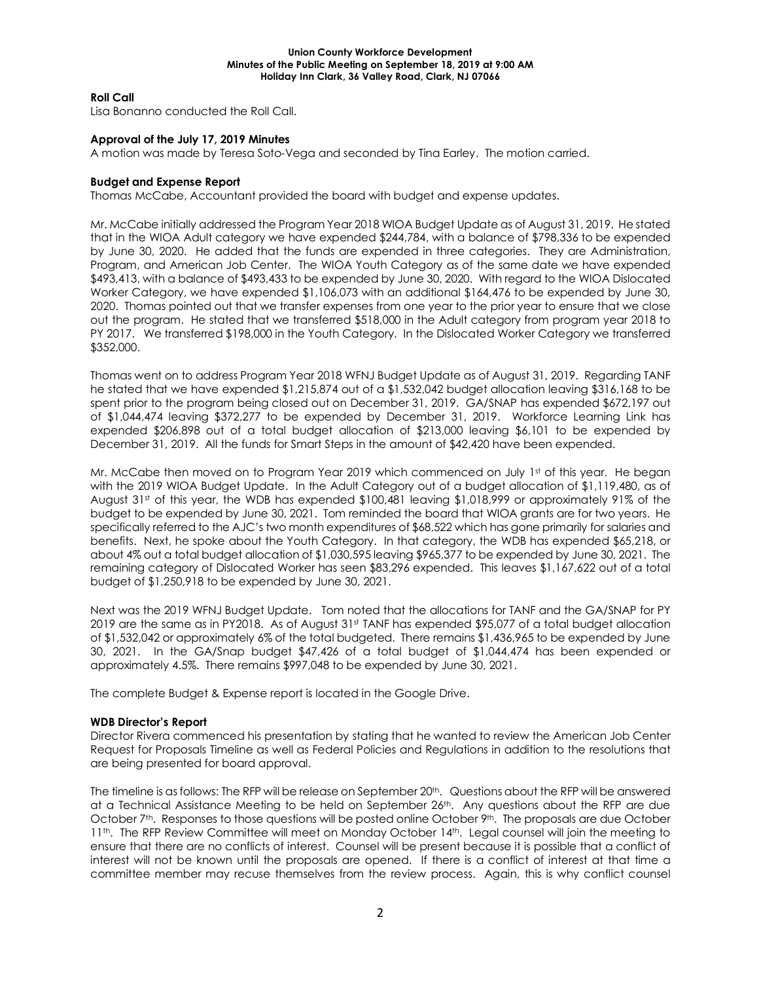# **Roll Call**

Lisa Bonanno conducted the Roll Call.

# **Approval of the July 17, 2019 Minutes**

A motion was made by Teresa Soto-Vega and seconded by Tina Earley. The motion carried.

## **Budget and Expense Report**

Thomas McCabe, Accountant provided the board with budget and expense updates.

Mr. McCabe initially addressed the Program Year 2018 WIOA Budget Update as of August 31, 2019. He stated that in the WIOA Adult category we have expended \$244,784, with a balance of \$798,336 to be expended by June 30, 2020. He added that the funds are expended in three categories. They are Administration, Program, and American Job Center. The WIOA Youth Category as of the same date we have expended \$493,413, with a balance of \$493,433 to be expended by June 30, 2020. With regard to the WIOA Dislocated Worker Category, we have expended \$1,106,073 with an additional \$164,476 to be expended by June 30, 2020. Thomas pointed out that we transfer expenses from one year to the prior year to ensure that we close out the program. He stated that we transferred \$518,000 in the Adult category from program year 2018 to PY 2017. We transferred \$198,000 in the Youth Category. In the Dislocated Worker Category we transferred \$352,000.

Thomas went on to address Program Year 2018 WFNJ Budget Update as of August 31, 2019. Regarding TANF he stated that we have expended \$1,215,874 out of a \$1,532,042 budget allocation leaving \$316,168 to be spent prior to the program being closed out on December 31, 2019. GA/SNAP has expended \$672,197 out of \$1,044,474 leaving \$372,277 to be expended by December 31, 2019. Workforce Learning Link has expended \$206,898 out of a total budget allocation of \$213,000 leaving \$6,101 to be expended by December 31, 2019. All the funds for Smart Steps in the amount of \$42,420 have been expended.

Mr. McCabe then moved on to Program Year 2019 which commenced on July 1st of this year. He began with the 2019 WIOA Budget Update. In the Adult Category out of a budget allocation of \$1,119,480, as of August 31<sup>st</sup> of this year, the WDB has expended \$100,481 leaving \$1,018,999 or approximately 91% of the budget to be expended by June 30, 2021. Tom reminded the board that WIOA grants are for two years. He specifically referred to the AJC's two month expenditures of \$68,522 which has gone primarily for salaries and benefits. Next, he spoke about the Youth Category. In that category, the WDB has expended \$65,218, or about 4% out a total budget allocation of \$1,030,595 leaving \$965,377 to be expended by June 30, 2021. The remaining category of Dislocated Worker has seen \$83,296 expended. This leaves \$1,167,622 out of a total budget of \$1,250,918 to be expended by June 30, 2021.

Next was the 2019 WFNJ Budget Update. Tom noted that the allocations for TANF and the GA/SNAP for PY 2019 are the same as in PY2018. As of August 31st TANF has expended \$95,077 of a total budget allocation of \$1,532,042 or approximately 6% of the total budgeted. There remains \$1,436,965 to be expended by June 30, 2021. In the GA/Snap budget \$47,426 of a total budget of \$1,044,474 has been expended or approximately 4.5%. There remains \$997,048 to be expended by June 30, 2021.

The complete Budget & Expense report is located in the Google Drive.

# **WDB Director's Report**

Director Rivera commenced his presentation by stating that he wanted to review the American Job Center Request for Proposals Timeline as well as Federal Policies and Regulations in addition to the resolutions that are being presented for board approval.

The timeline is as follows: The RFP will be release on September 20th. Questions about the RFP will be answered at a Technical Assistance Meeting to be held on September 26<sup>th</sup>. Any questions about the RFP are due October 7<sup>th</sup>. Responses to those questions will be posted online October 9<sup>th</sup>. The proposals are due October 11<sup>th</sup>. The RFP Review Committee will meet on Monday October 14<sup>th</sup>. Legal counsel will join the meeting to ensure that there are no conflicts of interest. Counsel will be present because it is possible that a conflict of interest will not be known until the proposals are opened. If there is a conflict of interest at that time a committee member may recuse themselves from the review process. Again, this is why conflict counsel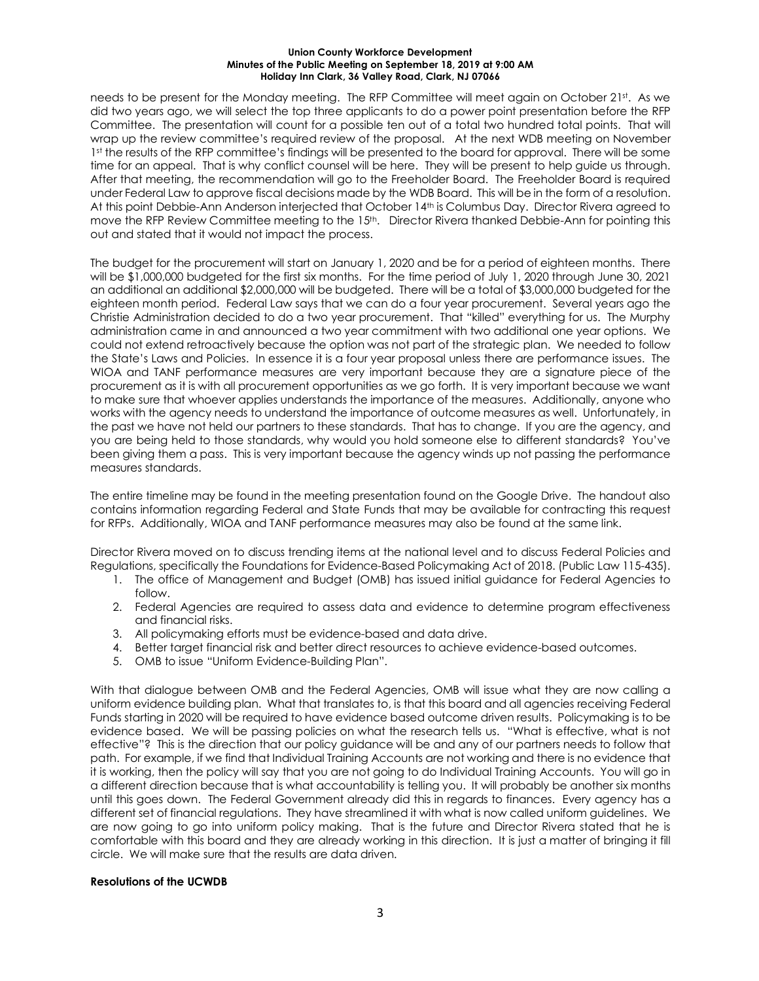needs to be present for the Monday meeting. The RFP Committee will meet again on October 21st. As we did two years ago, we will select the top three applicants to do a power point presentation before the RFP Committee. The presentation will count for a possible ten out of a total two hundred total points. That will wrap up the review committee's required review of the proposal. At the next WDB meeting on November 1st the results of the RFP committee's findings will be presented to the board for approval. There will be some time for an appeal. That is why conflict counsel will be here. They will be present to help guide us through. After that meeting, the recommendation will go to the Freeholder Board. The Freeholder Board is required under Federal Law to approve fiscal decisions made by the WDB Board. This will be in the form of a resolution. At this point Debbie-Ann Anderson interjected that October 14th is Columbus Day. Director Rivera agreed to move the RFP Review Committee meeting to the 15th. Director Rivera thanked Debbie-Ann for pointing this out and stated that it would not impact the process.

The budget for the procurement will start on January 1, 2020 and be for a period of eighteen months. There will be \$1,000,000 budgeted for the first six months. For the time period of July 1, 2020 through June 30, 2021 an additional an additional \$2,000,000 will be budgeted. There will be a total of \$3,000,000 budgeted for the eighteen month period. Federal Law says that we can do a four year procurement. Several years ago the Christie Administration decided to do a two year procurement. That "killed" everything for us. The Murphy administration came in and announced a two year commitment with two additional one year options. We could not extend retroactively because the option was not part of the strategic plan. We needed to follow the State's Laws and Policies. In essence it is a four year proposal unless there are performance issues. The WIOA and TANF performance measures are very important because they are a signature piece of the procurement as it is with all procurement opportunities as we go forth. It is very important because we want to make sure that whoever applies understands the importance of the measures. Additionally, anyone who works with the agency needs to understand the importance of outcome measures as well. Unfortunately, in the past we have not held our partners to these standards. That has to change. If you are the agency, and you are being held to those standards, why would you hold someone else to different standards? You've been giving them a pass. This is very important because the agency winds up not passing the performance measures standards.

The entire timeline may be found in the meeting presentation found on the Google Drive. The handout also contains information regarding Federal and State Funds that may be available for contracting this request for RFPs. Additionally, WIOA and TANF performance measures may also be found at the same link.

Director Rivera moved on to discuss trending items at the national level and to discuss Federal Policies and Regulations, specifically the Foundations for Evidence-Based Policymaking Act of 2018. (Public Law 115-435).

- 1. The office of Management and Budget (OMB) has issued initial guidance for Federal Agencies to follow.
- 2. Federal Agencies are required to assess data and evidence to determine program effectiveness and financial risks.
- 3. All policymaking efforts must be evidence-based and data drive.
- 4. Better target financial risk and better direct resources to achieve evidence-based outcomes.
- 5. OMB to issue "Uniform Evidence-Building Plan".

With that dialogue between OMB and the Federal Agencies, OMB will issue what they are now calling a uniform evidence building plan. What that translates to, is that this board and all agencies receiving Federal Funds starting in 2020 will be required to have evidence based outcome driven results. Policymaking is to be evidence based. We will be passing policies on what the research tells us. "What is effective, what is not effective"? This is the direction that our policy guidance will be and any of our partners needs to follow that path. For example, if we find that Individual Training Accounts are not working and there is no evidence that it is working, then the policy will say that you are not going to do Individual Training Accounts. You will go in a different direction because that is what accountability is telling you. It will probably be another six months until this goes down. The Federal Government already did this in regards to finances. Every agency has a different set of financial regulations. They have streamlined it with what is now called uniform guidelines. We are now going to go into uniform policy making. That is the future and Director Rivera stated that he is comfortable with this board and they are already working in this direction. It is just a matter of bringing it fill circle. We will make sure that the results are data driven.

## **Resolutions of the UCWDB**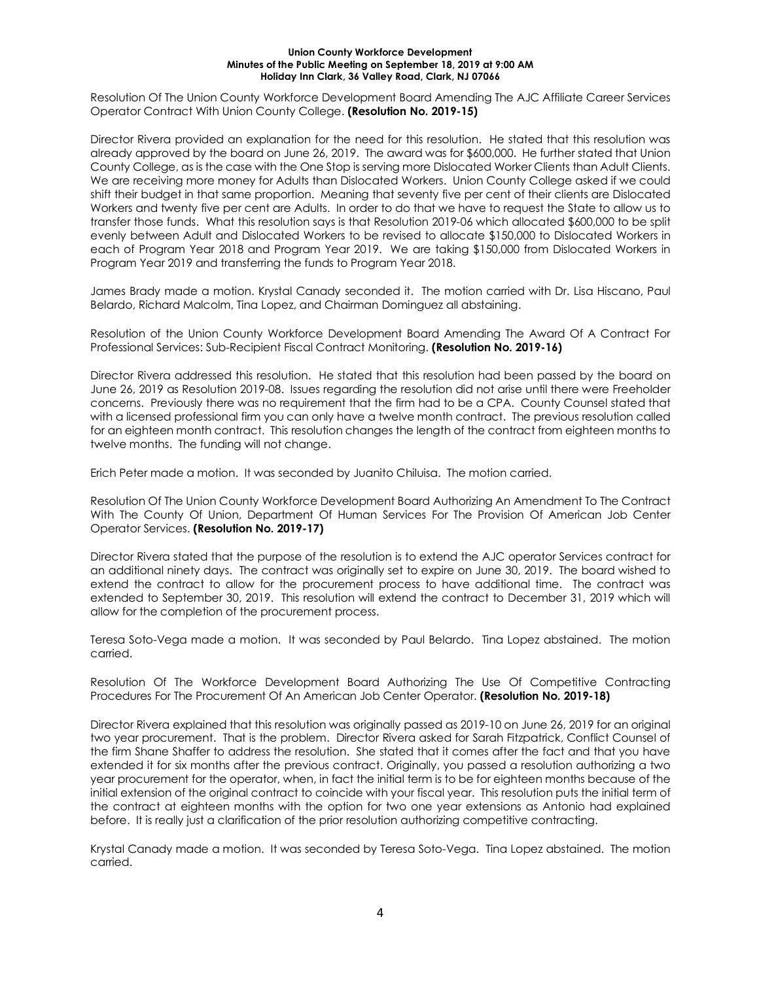Resolution Of The Union County Workforce Development Board Amending The AJC Affiliate Career Services Operator Contract With Union County College. **(Resolution No. 2019-15)**

Director Rivera provided an explanation for the need for this resolution. He stated that this resolution was already approved by the board on June 26, 2019. The award was for \$600,000. He further stated that Union County College, as is the case with the One Stop is serving more Dislocated Worker Clients than Adult Clients. We are receiving more money for Adults than Dislocated Workers. Union County College asked if we could shift their budget in that same proportion. Meaning that seventy five per cent of their clients are Dislocated Workers and twenty five per cent are Adults. In order to do that we have to request the State to allow us to transfer those funds. What this resolution says is that Resolution 2019-06 which allocated \$600,000 to be split evenly between Adult and Dislocated Workers to be revised to allocate \$150,000 to Dislocated Workers in each of Program Year 2018 and Program Year 2019. We are taking \$150,000 from Dislocated Workers in Program Year 2019 and transferring the funds to Program Year 2018.

James Brady made a motion. Krystal Canady seconded it. The motion carried with Dr. Lisa Hiscano, Paul Belardo, Richard Malcolm, Tina Lopez, and Chairman Dominguez all abstaining.

Resolution of the Union County Workforce Development Board Amending The Award Of A Contract For Professional Services: Sub-Recipient Fiscal Contract Monitoring. **(Resolution No. 2019-16)**

Director Rivera addressed this resolution. He stated that this resolution had been passed by the board on June 26, 2019 as Resolution 2019-08. Issues regarding the resolution did not arise until there were Freeholder concerns. Previously there was no requirement that the firm had to be a CPA. County Counsel stated that with a licensed professional firm you can only have a twelve month contract. The previous resolution called for an eighteen month contract. This resolution changes the length of the contract from eighteen months to twelve months. The funding will not change.

Erich Peter made a motion. It was seconded by Juanito Chiluisa. The motion carried.

Resolution Of The Union County Workforce Development Board Authorizing An Amendment To The Contract With The County Of Union, Department Of Human Services For The Provision Of American Job Center Operator Services. **(Resolution No. 2019-17)**

Director Rivera stated that the purpose of the resolution is to extend the AJC operator Services contract for an additional ninety days. The contract was originally set to expire on June 30, 2019. The board wished to extend the contract to allow for the procurement process to have additional time. The contract was extended to September 30, 2019. This resolution will extend the contract to December 31, 2019 which will allow for the completion of the procurement process.

Teresa Soto-Vega made a motion. It was seconded by Paul Belardo. Tina Lopez abstained. The motion carried.

Resolution Of The Workforce Development Board Authorizing The Use Of Competitive Contracting Procedures For The Procurement Of An American Job Center Operator. **(Resolution No. 2019-18)**

Director Rivera explained that this resolution was originally passed as 2019-10 on June 26, 2019 for an original two year procurement. That is the problem. Director Rivera asked for Sarah Fitzpatrick, Conflict Counsel of the firm Shane Shaffer to address the resolution. She stated that it comes after the fact and that you have extended it for six months after the previous contract. Originally, you passed a resolution authorizing a two year procurement for the operator, when, in fact the initial term is to be for eighteen months because of the initial extension of the original contract to coincide with your fiscal year. This resolution puts the initial term of the contract at eighteen months with the option for two one year extensions as Antonio had explained before. It is really just a clarification of the prior resolution authorizing competitive contracting.

Krystal Canady made a motion. It was seconded by Teresa Soto-Vega. Tina Lopez abstained. The motion carried.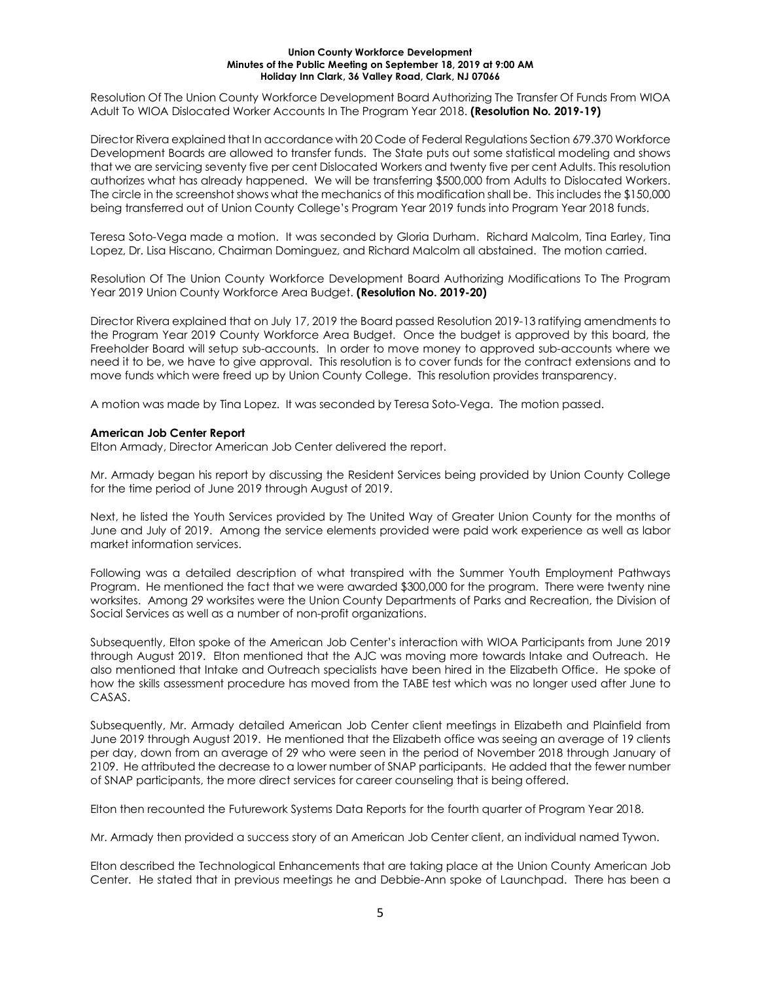Resolution Of The Union County Workforce Development Board Authorizing The Transfer Of Funds From WIOA Adult To WIOA Dislocated Worker Accounts In The Program Year 2018. **(Resolution No. 2019-19)**

Director Rivera explained that In accordance with 20 Code of Federal Regulations Section 679.370 Workforce Development Boards are allowed to transfer funds. The State puts out some statistical modeling and shows that we are servicing seventy five per cent Dislocated Workers and twenty five per cent Adults. This resolution authorizes what has already happened. We will be transferring \$500,000 from Adults to Dislocated Workers. The circle in the screenshot shows what the mechanics of this modification shall be. This includes the \$150,000 being transferred out of Union County College's Program Year 2019 funds into Program Year 2018 funds.

Teresa Soto-Vega made a motion. It was seconded by Gloria Durham. Richard Malcolm, Tina Earley, Tina Lopez, Dr. Lisa Hiscano, Chairman Dominguez, and Richard Malcolm all abstained. The motion carried.

Resolution Of The Union County Workforce Development Board Authorizing Modifications To The Program Year 2019 Union County Workforce Area Budget. **(Resolution No. 2019-20)**

Director Rivera explained that on July 17, 2019 the Board passed Resolution 2019-13 ratifying amendments to the Program Year 2019 County Workforce Area Budget. Once the budget is approved by this board, the Freeholder Board will setup sub-accounts. In order to move money to approved sub-accounts where we need it to be, we have to give approval. This resolution is to cover funds for the contract extensions and to move funds which were freed up by Union County College. This resolution provides transparency.

A motion was made by Tina Lopez. It was seconded by Teresa Soto-Vega. The motion passed.

## **American Job Center Report**

Elton Armady, Director American Job Center delivered the report.

Mr. Armady began his report by discussing the Resident Services being provided by Union County College for the time period of June 2019 through August of 2019.

Next, he listed the Youth Services provided by The United Way of Greater Union County for the months of June and July of 2019. Among the service elements provided were paid work experience as well as labor market information services.

Following was a detailed description of what transpired with the Summer Youth Employment Pathways Program. He mentioned the fact that we were awarded \$300,000 for the program. There were twenty nine worksites. Among 29 worksites were the Union County Departments of Parks and Recreation, the Division of Social Services as well as a number of non-profit organizations.

Subsequently, Elton spoke of the American Job Center's interaction with WIOA Participants from June 2019 through August 2019. Elton mentioned that the AJC was moving more towards Intake and Outreach. He also mentioned that Intake and Outreach specialists have been hired in the Elizabeth Office. He spoke of how the skills assessment procedure has moved from the TABE test which was no longer used after June to CASAS.

Subsequently, Mr. Armady detailed American Job Center client meetings in Elizabeth and Plainfield from June 2019 through August 2019. He mentioned that the Elizabeth office was seeing an average of 19 clients per day, down from an average of 29 who were seen in the period of November 2018 through January of 2109. He attributed the decrease to a lower number of SNAP participants. He added that the fewer number of SNAP participants, the more direct services for career counseling that is being offered.

Elton then recounted the Futurework Systems Data Reports for the fourth quarter of Program Year 2018.

Mr. Armady then provided a success story of an American Job Center client, an individual named Tywon.

Elton described the Technological Enhancements that are taking place at the Union County American Job Center. He stated that in previous meetings he and Debbie-Ann spoke of Launchpad. There has been a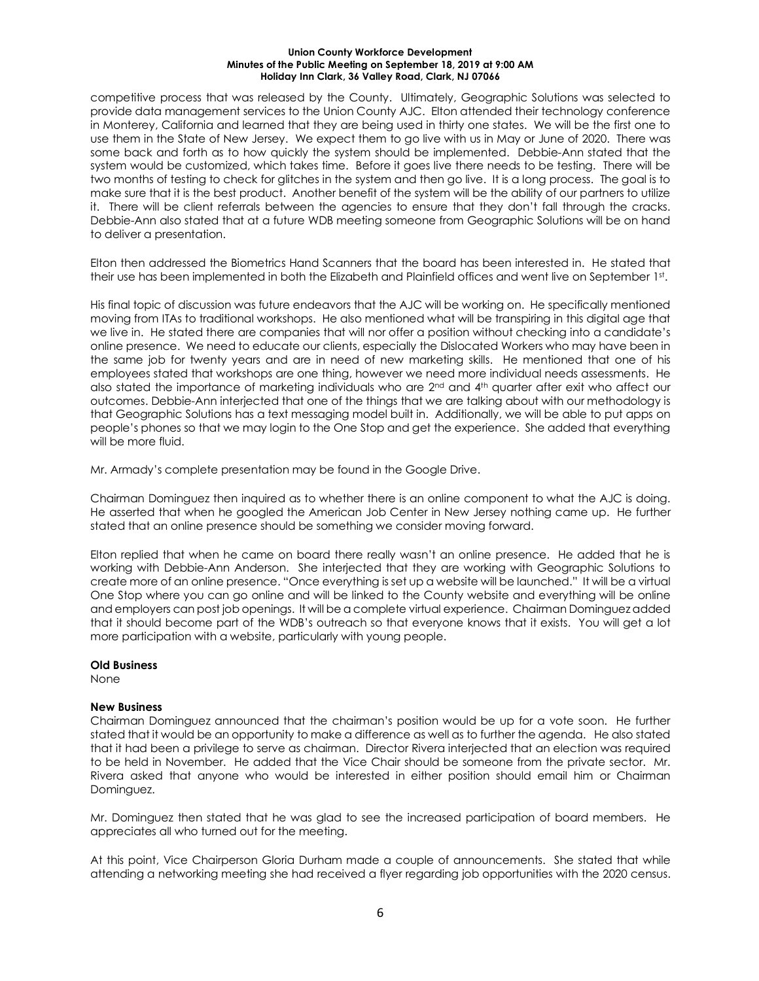competitive process that was released by the County. Ultimately, Geographic Solutions was selected to provide data management services to the Union County AJC. Elton attended their technology conference in Monterey, California and learned that they are being used in thirty one states. We will be the first one to use them in the State of New Jersey. We expect them to go live with us in May or June of 2020. There was some back and forth as to how quickly the system should be implemented. Debbie-Ann stated that the system would be customized, which takes time. Before it goes live there needs to be testing. There will be two months of testing to check for glitches in the system and then go live. It is a long process. The goal is to make sure that it is the best product. Another benefit of the system will be the ability of our partners to utilize it. There will be client referrals between the agencies to ensure that they don't fall through the cracks. Debbie-Ann also stated that at a future WDB meeting someone from Geographic Solutions will be on hand to deliver a presentation.

Elton then addressed the Biometrics Hand Scanners that the board has been interested in. He stated that their use has been implemented in both the Elizabeth and Plainfield offices and went live on September 1st.

His final topic of discussion was future endeavors that the AJC will be working on. He specifically mentioned moving from ITAs to traditional workshops. He also mentioned what will be transpiring in this digital age that we live in. He stated there are companies that will nor offer a position without checking into a candidate's online presence. We need to educate our clients, especially the Dislocated Workers who may have been in the same job for twenty years and are in need of new marketing skills. He mentioned that one of his employees stated that workshops are one thing, however we need more individual needs assessments. He also stated the importance of marketing individuals who are 2<sup>nd</sup> and 4<sup>th</sup> quarter after exit who affect our outcomes. Debbie-Ann interjected that one of the things that we are talking about with our methodology is that Geographic Solutions has a text messaging model built in. Additionally, we will be able to put apps on people's phones so that we may login to the One Stop and get the experience. She added that everything will be more fluid.

Mr. Armady's complete presentation may be found in the Google Drive.

Chairman Dominguez then inquired as to whether there is an online component to what the AJC is doing. He asserted that when he googled the American Job Center in New Jersey nothing came up. He further stated that an online presence should be something we consider moving forward.

Elton replied that when he came on board there really wasn't an online presence. He added that he is working with Debbie-Ann Anderson. She interjected that they are working with Geographic Solutions to create more of an online presence. "Once everything is set up a website will be launched." It will be a virtual One Stop where you can go online and will be linked to the County website and everything will be online and employers can post job openings. It will be a complete virtual experience. Chairman Dominguez added that it should become part of the WDB's outreach so that everyone knows that it exists. You will get a lot more participation with a website, particularly with young people.

## **Old Business**

None

## **New Business**

Chairman Dominguez announced that the chairman's position would be up for a vote soon. He further stated that it would be an opportunity to make a difference as well as to further the agenda. He also stated that it had been a privilege to serve as chairman. Director Rivera interjected that an election was required to be held in November. He added that the Vice Chair should be someone from the private sector. Mr. Rivera asked that anyone who would be interested in either position should email him or Chairman Dominguez.

Mr. Dominguez then stated that he was glad to see the increased participation of board members. He appreciates all who turned out for the meeting.

At this point, Vice Chairperson Gloria Durham made a couple of announcements. She stated that while attending a networking meeting she had received a flyer regarding job opportunities with the 2020 census.